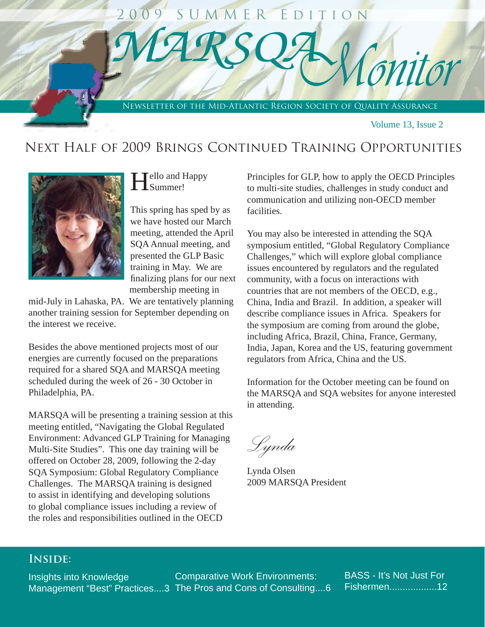## *M A R S Q A*Ī Newsletter of the Mid-Atlantic Region Society of Quality Assurance *Monitor* 2 0 0 9 S U M M E R E d i t i o n

Volume 13, Issue 2

### NEXT HALF OF 2009 BRINGS CONTINUED TRAINING OPPORTUNITIES



Ī

# Hello and Happy

This spring has sped by as we have hosted our March meeting, attended the April SQA Annual meeting, and presented the GLP Basic training in May. We are finalizing plans for our next membership meeting in

mid-July in Lahaska, PA. We are tentatively planning another training session for September depending on the interest we receive.

Besides the above mentioned projects most of our energies are currently focused on the preparations required for a shared SQA and MARSQA meeting scheduled during the week of 26 - 30 October in Philadelphia, PA.

MARSQA will be presenting a training session at this meeting entitled, "Navigating the Global Regulated Environment: Advanced GLP Training for Managing Multi-Site Studies". This one day training will be offered on October 28, 2009, following the 2-day SQA Symposium: Global Regulatory Compliance Challenges. The MARSQA training is designed to assist in identifying and developing solutions to global compliance issues including a review of the roles and responsibilities outlined in the OECD

Principles for GLP, how to apply the OECD Principles to multi-site studies, challenges in study conduct and communication and utilizing non-OECD member facilities.

You may also be interested in attending the SQA symposium entitled, "Global Regulatory Compliance Challenges," which will explore global compliance issues encountered by regulators and the regulated community, with a focus on interactions with countries that are not members of the OECD, e.g., China, India and Brazil. In addition, a speaker will describe compliance issues in Africa. Speakers for the symposium are coming from around the globe, including Africa, Brazil, China, France, Germany, India, Japan, Korea and the US, featuring government regulators from Africa, China and the US.

Information for the October meeting can be found on the MARSQA and SQA websites for anyone interested in attending.

*Lynda*

Lynda Olsen 2009 MARSQA President

### **Inside:**

Insights into Knowledge Management "Best" Practices....3 The Pros and Cons of Consulting....6 Comparative Work Environments:

BASS - It's Not Just For Fishermen..................12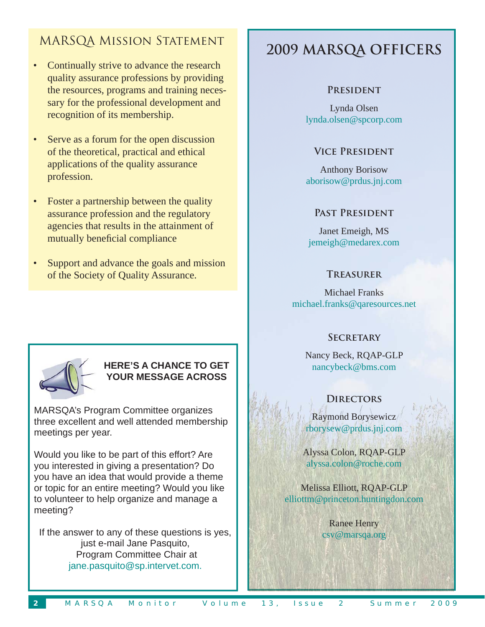### MARSQA Mission Statement

- Continually strive to advance the research quality assurance professions by providing the resources, programs and training necessary for the professional development and recognition of its membership.
- Serve as a forum for the open discussion of the theoretical, practical and ethical applications of the quality assurance profession.
- Foster a partnership between the quality assurance profession and the regulatory agencies that results in the attainment of mutually beneficial compliance
- Support and advance the goals and mission of the Society of Quality Assurance.

## **2009 MARSQA OFFICERS**

### **President**

Lynda Olsen lynda.olsen@spcorp.com

### **Vice President**

Anthony Borisow aborisow@prdus.jnj.com

### **Past President**

Janet Emeigh, MS jemeigh@medarex.com

### **Treasurer**

Michael Franks michael.franks@qaresources.net

### **Secretary**

Nancy Beck, RQAP-GLP nancybeck@bms.com

### **Directors**

Raymond Borysewicz rborysew@prdus.jnj.com

Alyssa Colon, RQAP-GLP alyssa.colon@roche.com

Melissa Elliott, RQAP-GLP elliottm@princeton.huntingdon.com

> Ranee Henry csv@marsqa.org



### **HERE'S A CHANCE TO GET YOUR MESSAGE ACROSS**

MARSQA's Program Committee organizes three excellent and well attended membership meetings per year.

Would you like to be part of this effort? Are you interested in giving a presentation? Do you have an idea that would provide a theme or topic for an entire meeting? Would you like to volunteer to help organize and manage a meeting?

If the answer to any of these questions is yes, just e-mail Jane Pasquito, Program Committee Chair at jane.pasquito@sp.intervet.com.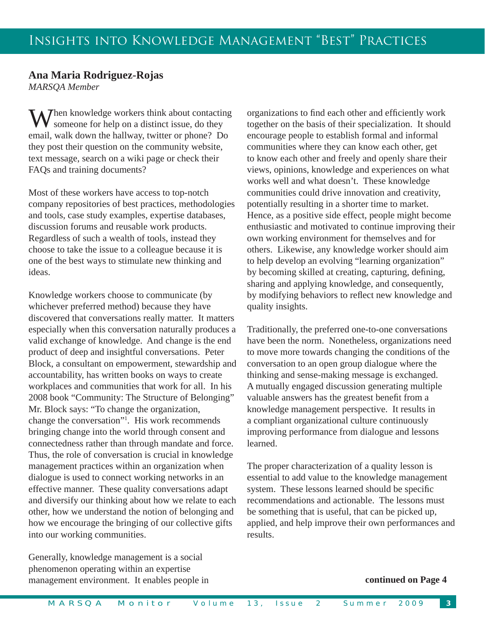### **Ana Maria Rodriguez-Rojas**

*MARSQA Member*

 $M$ hen knowledge workers think about contacting someone for help on a distinct issue, do they email, walk down the hallway, twitter or phone? Do they post their question on the community website, text message, search on a wiki page or check their FAQs and training documents?

Most of these workers have access to top-notch company repositories of best practices, methodologies and tools, case study examples, expertise databases, discussion forums and reusable work products. Regardless of such a wealth of tools, instead they choose to take the issue to a colleague because it is one of the best ways to stimulate new thinking and ideas.

Knowledge workers choose to communicate (by whichever preferred method) because they have discovered that conversations really matter. It matters especially when this conversation naturally produces a valid exchange of knowledge. And change is the end product of deep and insightful conversations. Peter Block, a consultant on empowerment, stewardship and accountability, has written books on ways to create workplaces and communities that work for all. In his 2008 book "Community: The Structure of Belonging" Mr. Block says: "To change the organization, change the conversation"1 . His work recommends bringing change into the world through consent and connectedness rather than through mandate and force. Thus, the role of conversation is crucial in knowledge management practices within an organization when dialogue is used to connect working networks in an effective manner. These quality conversations adapt and diversify our thinking about how we relate to each other, how we understand the notion of belonging and how we encourage the bringing of our collective gifts into our working communities.

Generally, knowledge management is a social phenomenon operating within an expertise management environment. It enables people in organizations to find each other and efficiently work together on the basis of their specialization. It should encourage people to establish formal and informal communities where they can know each other, get to know each other and freely and openly share their views, opinions, knowledge and experiences on what works well and what doesn't. These knowledge communities could drive innovation and creativity, potentially resulting in a shorter time to market. Hence, as a positive side effect, people might become enthusiastic and motivated to continue improving their own working environment for themselves and for others. Likewise, any knowledge worker should aim to help develop an evolving "learning organization" by becoming skilled at creating, capturing, defining, sharing and applying knowledge, and consequently, by modifying behaviors to reflect new knowledge and quality insights.

Traditionally, the preferred one-to-one conversations have been the norm. Nonetheless, organizations need to move more towards changing the conditions of the conversation to an open group dialogue where the thinking and sense-making message is exchanged. A mutually engaged discussion generating multiple valuable answers has the greatest benefit from a knowledge management perspective. It results in a compliant organizational culture continuously improving performance from dialogue and lessons learned.

The proper characterization of a quality lesson is essential to add value to the knowledge management system. These lessons learned should be specific recommendations and actionable. The lessons must be something that is useful, that can be picked up, applied, and help improve their own performances and results.

#### **continued on Page 4**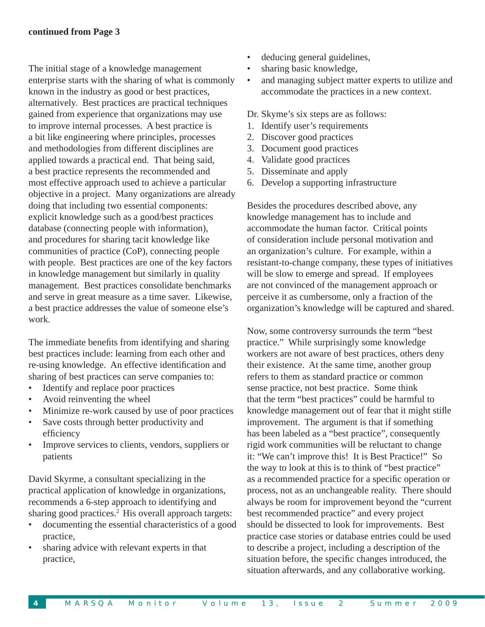The initial stage of a knowledge management enterprise starts with the sharing of what is commonly known in the industry as good or best practices, alternatively. Best practices are practical techniques gained from experience that organizations may use to improve internal processes. A best practice is a bit like engineering where principles, processes and methodologies from different disciplines are applied towards a practical end. That being said, a best practice represents the recommended and most effective approach used to achieve a particular objective in a project. Many organizations are already doing that including two essential components: explicit knowledge such as a good/best practices database (connecting people with information), and procedures for sharing tacit knowledge like communities of practice (CoP), connecting people with people. Best practices are one of the key factors in knowledge management but similarly in quality management. Best practices consolidate benchmarks and serve in great measure as a time saver. Likewise, a best practice addresses the value of someone else's work.

The immediate benefits from identifying and sharing best practices include: learning from each other and re-using knowledge. An effective identification and sharing of best practices can serve companies to:

- Identify and replace poor practices
- Avoid reinventing the wheel
- Minimize re-work caused by use of poor practices
- Save costs through better productivity and efficiency
- Improve services to clients, vendors, suppliers or patients

David Skyrme, a consultant specializing in the practical application of knowledge in organizations, recommends a 6-step approach to identifying and sharing good practices.<sup>2</sup> His overall approach targets:

- documenting the essential characteristics of a good practice,
- sharing advice with relevant experts in that practice,
- deducing general guidelines,
- sharing basic knowledge,
- and managing subject matter experts to utilize and accommodate the practices in a new context.
- Dr. Skyme's six steps are as follows:
- 1. Identify user's requirements
- 2. Discover good practices
- 3. Document good practices
- 4. Validate good practices
- 5. Disseminate and apply
- 6. Develop a supporting infrastructure

Besides the procedures described above, any knowledge management has to include and accommodate the human factor. Critical points of consideration include personal motivation and an organization's culture. For example, within a resistant-to-change company, these types of initiatives will be slow to emerge and spread. If employees are not convinced of the management approach or perceive it as cumbersome, only a fraction of the organization's knowledge will be captured and shared.

Now, some controversy surrounds the term "best practice." While surprisingly some knowledge workers are not aware of best practices, others deny their existence. At the same time, another group refers to them as standard practice or common sense practice, not best practice. Some think that the term "best practices" could be harmful to knowledge management out of fear that it might stifle improvement. The argument is that if something has been labeled as a "best practice", consequently rigid work communities will be reluctant to change it: "We can't improve this! It is Best Practice!" So the way to look at this is to think of "best practice" as a recommended practice for a specific operation or process, not as an unchangeable reality. There should always be room for improvement beyond the "current best recommended practice" and every project should be dissected to look for improvements. Best practice case stories or database entries could be used to describe a project, including a description of the situation before, the specific changes introduced, the situation afterwards, and any collaborative working.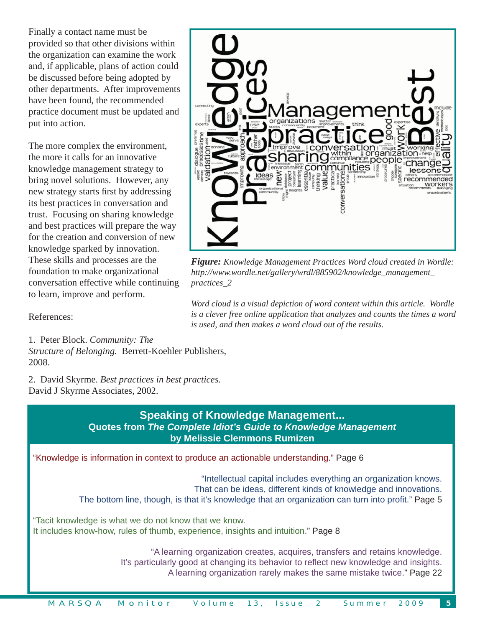Finally a contact name must be provided so that other divisions within the organization can examine the work and, if applicable, plans of action could be discussed before being adopted by other departments. After improvements have been found, the recommended practice document must be updated and put into action.

The more complex the environment, the more it calls for an innovative knowledge management strategy to bring novel solutions. However, any new strategy starts first by addressing its best practices in conversation and trust. Focusing on sharing knowledge and best practices will prepare the way for the creation and conversion of new knowledge sparked by innovation. These skills and processes are the foundation to make organizational conversation effective while continuing to learn, improve and perform.



*Figure: Knowledge Management Practices Word cloud created in Wordle: http://www.wordle.net/gallery/wrdl/885902/knowledge\_management\_ practices\_2*

*Word cloud is a visual depiction of word content within this article. Wordle is a clever free online application that analyzes and counts the times a word is used, and then makes a word cloud out of the results.* 

References:

1. Peter Block. *Community: The* 

*Structure of Belonging.* Berrett-Koehler Publishers, 2008.

2. David Skyrme. *Best practices in best practices.* David J Skyrme Associates, 2002.

### **Speaking of Knowledge Management... Quotes from** *The Complete Idiot's Guide to Knowledge Management* **by Melissie Clemmons Rumizen**

"Knowledge is information in context to produce an actionable understanding." Page 6

"Intellectual capital includes everything an organization knows. That can be ideas, different kinds of knowledge and innovations. The bottom line, though, is that it's knowledge that an organization can turn into profit." Page 5

"Tacit knowledge is what we do not know that we know. It includes know-how, rules of thumb, experience, insights and intuition." Page 8

> "A learning organization creates, acquires, transfers and retains knowledge. It's particularly good at changing its behavior to reflect new knowledge and insights. A learning organization rarely makes the same mistake twice." Page 22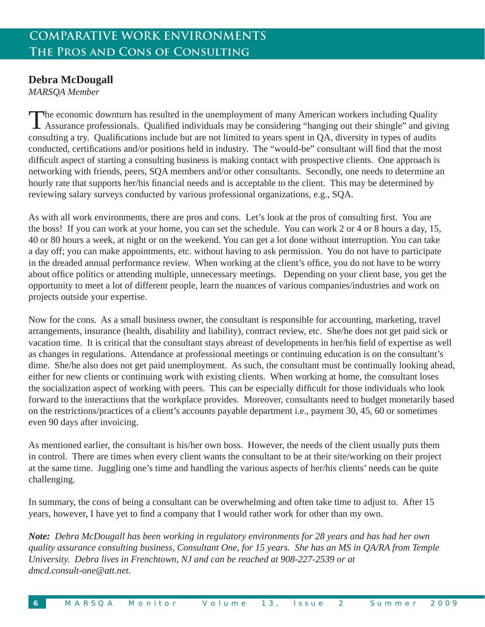### **Debra McDougall**

*MARSQA Member*

The economic downturn has resulted in the unemployment of many American workers including Quality Assurance professionals. Qualified individuals may be considering "hanging out their shingle" and giving consulting a try. Qualifications include but are not limited to years spent in QA, diversity in types of audits conducted, certifications and/or positions held in industry. The "would-be" consultant will find that the most difficult aspect of starting a consulting business is making contact with prospective clients. One approach is networking with friends, peers, SQA members and/or other consultants. Secondly, one needs to determine an hourly rate that supports her/his financial needs and is acceptable to the client. This may be determined by reviewing salary surveys conducted by various professional organizations, e.g., SQA.

As with all work environments, there are pros and cons. Let's look at the pros of consulting first. You are the boss! If you can work at your home, you can set the schedule. You can work 2 or 4 or 8 hours a day, 15, 40 or 80 hours a week, at night or on the weekend. You can get a lot done without interruption. You can take a day off; you can make appointments, etc. without having to ask permission. You do not have to participate in the dreaded annual performance review. When working at the client's office, you do not have to be worry about office politics or attending multiple, unnecessary meetings. Depending on your client base, you get the opportunity to meet a lot of different people, learn the nuances of various companies/industries and work on projects outside your expertise.

Now for the cons. As a small business owner, the consultant is responsible for accounting, marketing, travel arrangements, insurance (health, disability and liability), contract review, etc. She/he does not get paid sick or vacation time. It is critical that the consultant stays abreast of developments in her/his field of expertise as well as changes in regulations. Attendance at professional meetings or continuing education is on the consultant's dime. She/he also does not get paid unemployment. As such, the consultant must be continually looking ahead, either for new clients or continuing work with existing clients. When working at home, the consultant loses the socialization aspect of working with peers. This can be especially difficult for those individuals who look forward to the interactions that the workplace provides. Moreover, consultants need to budget monetarily based on the restrictions/practices of a client's accounts payable department i.e., payment 30, 45, 60 or sometimes even 90 days after invoicing.

As mentioned earlier, the consultant is his/her own boss. However, the needs of the client usually puts them in control. There are times when every client wants the consultant to be at their site/working on their project at the same time. Juggling one's time and handling the various aspects of her/his clients' needs can be quite challenging.

In summary, the cons of being a consultant can be overwhelming and often take time to adjust to. After 15 years, however, I have yet to find a company that I would rather work for other than my own.

*Note: Debra McDougall has been working in regulatory environments for 28 years and has had her own quality assurance consulting business, Consultant One, for 15 years. She has an MS in QA/RA from Temple University. Debra lives in Frenchtown, NJ and can be reached at 908-227-2539 or at dmcd.consult-one@att.net.*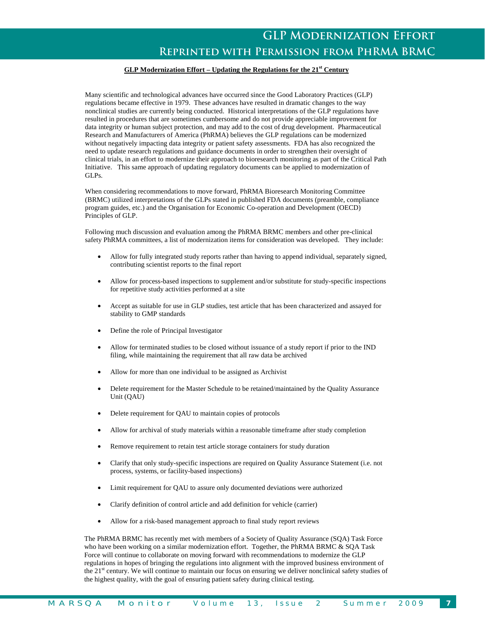#### **GLP Modernization Effort – Updating the Regulations for the 21st Century**

Many scientific and technological advances have occurred since the Good Laboratory Practices (GLP) regulations became effective in 1979. These advances have resulted in dramatic changes to the way nonclinical studies are currently being conducted. Historical interpretations of the GLP regulations have resulted in procedures that are sometimes cumbersome and do not provide appreciable improvement for data integrity or human subject protection, and may add to the cost of drug development. Pharmaceutical Research and Manufacturers of America (PhRMA) believes the GLP regulations can be modernized without negatively impacting data integrity or patient safety assessments. FDA has also recognized the need to update research regulations and guidance documents in order to strengthen their oversight of clinical trials, in an effort to modernize their approach to bioresearch monitoring as part of the Critical Path Initiative. This same approach of updating regulatory documents can be applied to modernization of GLPs.

When considering recommendations to move forward, PhRMA Bioresearch Monitoring Committee (BRMC) utilized interpretations of the GLPs stated in published FDA documents (preamble, compliance program guides, etc.) and the Organisation for Economic Co-operation and Development (OECD) Principles of GLP.

Following much discussion and evaluation among the PhRMA BRMC members and other pre-clinical safety PhRMA committees, a list of modernization items for consideration was developed. They include:

- Allow for fully integrated study reports rather than having to append individual, separately signed, contributing scientist reports to the final report
- Allow for process-based inspections to supplement and/or substitute for study-specific inspections for repetitive study activities performed at a site
- Accept as suitable for use in GLP studies, test article that has been characterized and assayed for stability to GMP standards
- Define the role of Principal Investigator
- Allow for terminated studies to be closed without issuance of a study report if prior to the IND filing, while maintaining the requirement that all raw data be archived
- Allow for more than one individual to be assigned as Archivist
- Delete requirement for the Master Schedule to be retained/maintained by the Quality Assurance Unit (QAU)
- Delete requirement for QAU to maintain copies of protocols
- Allow for archival of study materials within a reasonable timeframe after study completion
- Remove requirement to retain test article storage containers for study duration
- Clarify that only study-specific inspections are required on Quality Assurance Statement (i.e. not process, systems, or facility-based inspections)
- Limit requirement for QAU to assure only documented deviations were authorized
- Clarify definition of control article and add definition for vehicle (carrier)
- Allow for a risk-based management approach to final study report reviews

The PhRMA BRMC has recently met with members of a Society of Quality Assurance (SQA) Task Force who have been working on a similar modernization effort. Together, the PhRMA BRMC & SQA Task Force will continue to collaborate on moving forward with recommendations to modernize the GLP regulations in hopes of bringing the regulations into alignment with the improved business environment of the 21<sup>st</sup> century. We will continue to maintain our focus on ensuring we deliver nonclinical safety studies of the highest quality, with the goal of ensuring patient safety during clinical testing.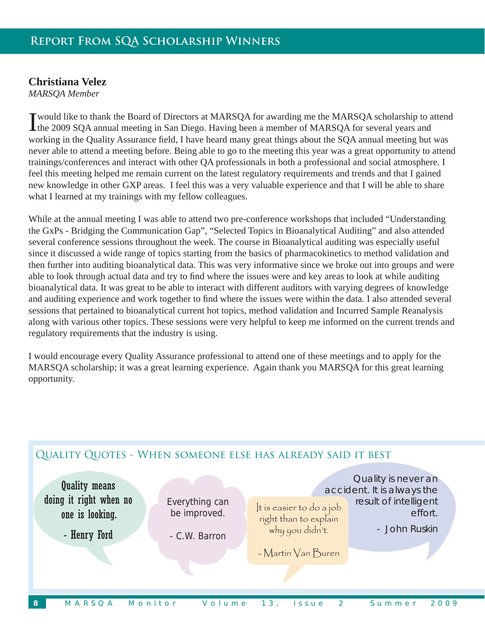### **Christiana Velez**

*MARSQA Member*

I would like to thank the Board of Directors at MARSQA for awarding me the MARSQA scholarship to attend the 2009 SQA annual meeting in San Diego. Having been a member of MARSQA for several years and working in the Quality Assurance field, I have heard many great things about the SQA annual meeting but was never able to attend a meeting before. Being able to go to the meeting this year was a great opportunity to attend trainings/conferences and interact with other QA professionals in both a professional and social atmosphere. I feel this meeting helped me remain current on the latest regulatory requirements and trends and that I gained new knowledge in other GXP areas. I feel this was a very valuable experience and that I will be able to share what I learned at my trainings with my fellow colleagues.

While at the annual meeting I was able to attend two pre-conference workshops that included "Understanding" the GxPs - Bridging the Communication Gap", "Selected Topics in Bioanalytical Auditing" and also attended several conference sessions throughout the week. The course in Bioanalytical auditing was especially useful since it discussed a wide range of topics starting from the basics of pharmacokinetics to method validation and then further into auditing bioanalytical data. This was very informative since we broke out into groups and were able to look through actual data and try to find where the issues were and key areas to look at while auditing bioanalytical data. It was great to be able to interact with different auditors with varying degrees of knowledge and auditing experience and work together to find where the issues were within the data. I also attended several sessions that pertained to bioanalytical current hot topics, method validation and Incurred Sample Reanalysis along with various other topics. These sessions were very helpful to keep me informed on the current trends and regulatory requirements that the industry is using.

I would encourage every Quality Assurance professional to attend one of these meetings and to apply for the MARSQA scholarship; it was a great learning experience. Again thank you MARSQA for this great learning opportunity.

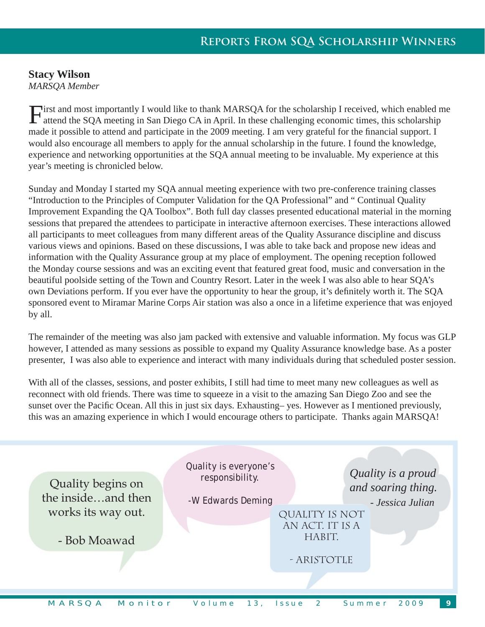### **Stacy Wilson**

*MARSQA Member*

First and most importantly I would like to thank MARSQA for the scholarship I received, which enabled me attend the SQA meeting in San Diego CA in April. In these challenging economic times, this scholarship made it possible to attend and participate in the 2009 meeting. I am very grateful for the financial support. I would also encourage all members to apply for the annual scholarship in the future. I found the knowledge, experience and networking opportunities at the SQA annual meeting to be invaluable. My experience at this year's meeting is chronicled below.

Sunday and Monday I started my SQA annual meeting experience with two pre-conference training classes "Introduction to the Principles of Computer Validation for the QA Professional" and " Continual Quality Improvement Expanding the QA Toolbox". Both full day classes presented educational material in the morning sessions that prepared the attendees to participate in interactive afternoon exercises. These interactions allowed all participants to meet colleagues from many different areas of the Quality Assurance discipline and discuss various views and opinions. Based on these discussions, I was able to take back and propose new ideas and information with the Quality Assurance group at my place of employment. The opening reception followed the Monday course sessions and was an exciting event that featured great food, music and conversation in the beautiful poolside setting of the Town and Country Resort. Later in the week I was also able to hear SQA's own Deviations perform. If you ever have the opportunity to hear the group, it's definitely worth it. The SQA sponsored event to Miramar Marine Corps Air station was also a once in a lifetime experience that was enjoyed by all.

The remainder of the meeting was also jam packed with extensive and valuable information. My focus was GLP however, I attended as many sessions as possible to expand my Quality Assurance knowledge base. As a poster presenter, I was also able to experience and interact with many individuals during that scheduled poster session.

With all of the classes, sessions, and poster exhibits, I still had time to meet many new colleagues as well as reconnect with old friends. There was time to squeeze in a visit to the amazing San Diego Zoo and see the sunset over the Pacific Ocean. All this in just six days. Exhausting– yes. However as I mentioned previously, this was an amazing experience in which I would encourage others to participate. Thanks again MARSQA!

| Quality begins on<br>the insideand then | Quality is everyone's<br>responsibility.<br>-W Edwards Deming |                                             | Quality is a proud<br>and soaring thing.<br>- Jessica Julian |
|-----------------------------------------|---------------------------------------------------------------|---------------------------------------------|--------------------------------------------------------------|
| works its way out.<br>- Bob Moawad      |                                                               | QUALITY IS NOT<br>AN ACT. IT IS A<br>HABIT. |                                                              |
|                                         |                                                               | - ARISTOTLE                                 |                                                              |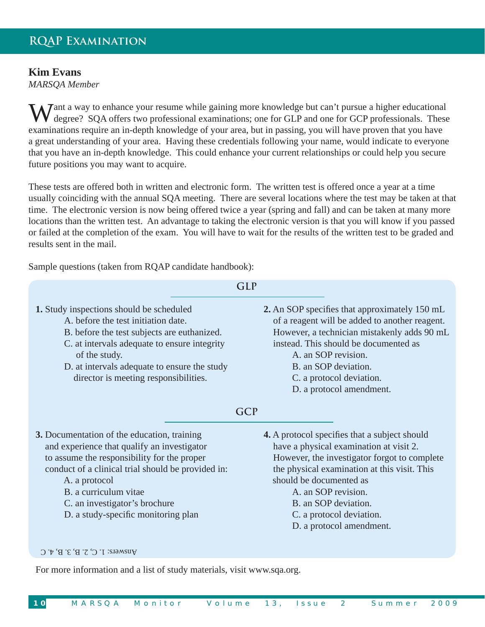### **Kim Evans**

*MARSQA Member*

**W** J ant a way to enhance your resume while gaining more knowledge but can't pursue a higher educational degree? SQA offers two professional examinations; one for GLP and one for GCP professionals. These examinations require an in-depth knowledge of your area, but in passing, you will have proven that you have a great understanding of your area. Having these credentials following your name, would indicate to everyone that you have an in-depth knowledge. This could enhance your current relationships or could help you secure future positions you may want to acquire.

These tests are offered both in written and electronic form. The written test is offered once a year at a time usually coinciding with the annual SQA meeting. There are several locations where the test may be taken at that time. The electronic version is now being offered twice a year (spring and fall) and can be taken at many more locations than the written test. An advantage to taking the electronic version is that you will know if you passed or failed at the completion of the exam. You will have to wait for the results of the written test to be graded and results sent in the mail.

Sample questions (taken from RQAP candidate handbook):

|                                                                                                                                                                                                                                                                                                                   | <b>GLP</b>                                                                                                                                                                                                                                                                                                                        |
|-------------------------------------------------------------------------------------------------------------------------------------------------------------------------------------------------------------------------------------------------------------------------------------------------------------------|-----------------------------------------------------------------------------------------------------------------------------------------------------------------------------------------------------------------------------------------------------------------------------------------------------------------------------------|
| 1. Study inspections should be scheduled<br>A, before the test initiation date.<br>B. before the test subjects are euthanized.<br>C. at intervals adequate to ensure integrity<br>of the study.<br>D. at intervals adequate to ensure the study<br>director is meeting responsibilities.                          | 2. An SOP specifies that approximately 150 mL<br>of a reagent will be added to another reagent.<br>However, a technician mistakenly adds 90 mL<br>instead. This should be documented as<br>A. an SOP revision.<br>B. an SOP deviation.<br>C. a protocol deviation.<br>D. a protocol amendment.                                    |
|                                                                                                                                                                                                                                                                                                                   | <b>GCP</b>                                                                                                                                                                                                                                                                                                                        |
| 3. Documentation of the education, training<br>and experience that qualify an investigator<br>to assume the responsibility for the proper<br>conduct of a clinical trial should be provided in:<br>A. a protocol<br>B. a curriculum vitae<br>C. an investigator's brochure<br>D. a study-specific monitoring plan | <b>4.</b> A protocol specifies that a subject should<br>have a physical examination at visit 2.<br>However, the investigator forgot to complete<br>the physical examination at this visit. This<br>should be documented as<br>A. an SOP revision.<br>B. an SOP deviation.<br>C. a protocol deviation.<br>D. a protocol amendment. |

#### Answers:  $I' \subset C' \subset T$ ,  $B' \subset T$ ,  $C \subset C$

For more information and a list of study materials, visit www.sqa.org.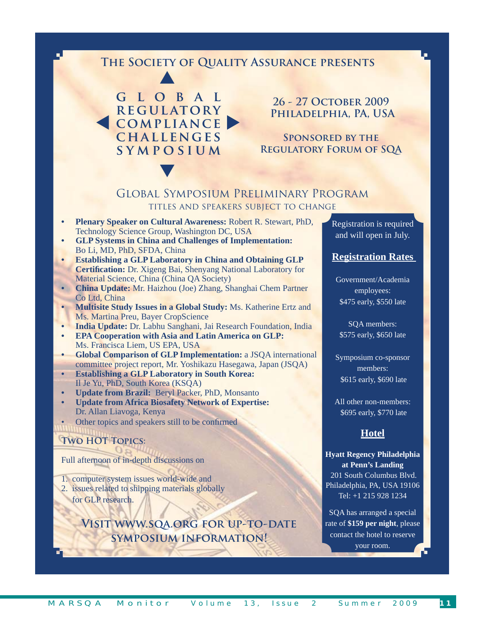### **The Society of Quality Assurance presents**



V

**26 - 27 October 2009 Philadelphia, PA, USA**

**Sponsored by the Regulatory Forum of SQA**

#### Global Symposium Preliminary Program titles and speakers subject to change

- **Plenary Speaker on Cultural Awareness:** Robert R. Stewart, PhD, Technology Science Group, Washington DC, USA
- **GLP Systems in China and Challenges of Implementation:**  Bo Li, MD, PhD, SFDA, China
- **Establishing a GLP Laboratory in China and Obtaining GLP Certification:** Dr. Xigeng Bai, Shenyang National Laboratory for Material Science, China (China QA Society)
- **China Update:** Mr. Haizhou (Joe) Zhang, Shanghai Chem Partner Co Ltd, China
- **Multisite Study Issues in a Global Study:** Ms. Katherine Ertz and Ms. Martina Preu, Bayer CropScience
- **India Update:** Dr. Labhu Sanghani, Jai Research Foundation, India
- **EPA Cooperation with Asia and Latin America on GLP:**  Ms. Francisca Liem, US EPA, USA
- **Global Comparison of GLP Implementation:** a JSQA international committee project report, Mr. Yoshikazu Hasegawa, Japan (JSQA)
- **Establishing a GLP Laboratory in South Korea:**  Il Je Yu, PhD, South Korea (KSQA)
- **Update from Brazil:** Beryl Packer, PhD, Monsanto
- **Update from Africa Biosafety Network of Expertise:**  Dr. Allan Liavoga, Kenya
- Other topics and speakers still to be confirmed

### **Two HOT Topics:**

Full afternoon of in-depth discussions on

- 1. computer system issues world-wide and
- 2. issues related to shipping materials globally for GLP research.

**Visit www.sqa.org for up-to-date symposium information!** 

Registration is required and will open in July.

#### **Registration Rates**

Government/Academia employees: \$475 early, \$550 late

SQA members: \$575 early, \$650 late

Symposium co-sponsor members: \$615 early, \$690 late

All other non-members: \$695 early, \$770 late

### **Hotel**

**Hyatt Regency Philadelphia at Penn's Landing** 201 South Columbus Blvd. Philadelphia, PA, USA 19106 Tel: +1 215 928 1234

SQA has arranged a special rate of **\$159 per night**, please contact the hotel to reserve your room.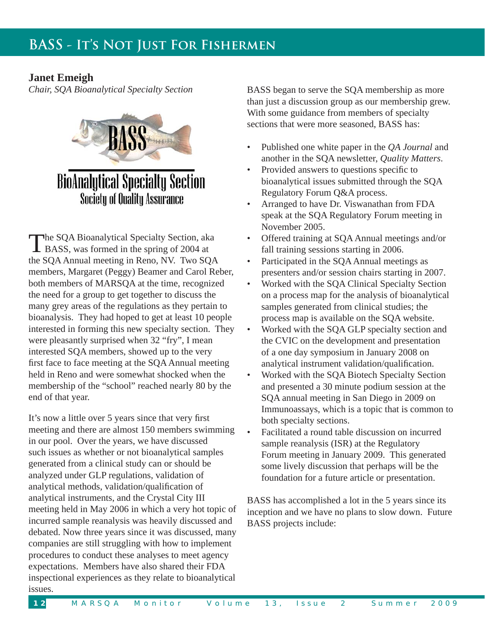### **Janet Emeigh**

*Chair, SQA Bioanalytical Specialty Section*



**BioAnalytical Specialty Section Society of Quality Assurance** 

The SQA Bioanalytical Specialty Section, aka BASS, was formed in the spring of 2004 at the SQA Annual meeting in Reno, NV. Two SQA members, Margaret (Peggy) Beamer and Carol Reber, both members of MARSQA at the time, recognized the need for a group to get together to discuss the many grey areas of the regulations as they pertain to bioanalysis. They had hoped to get at least 10 people interested in forming this new specialty section. They were pleasantly surprised when 32 "fry", I mean interested SQA members, showed up to the very first face to face meeting at the SQA Annual meeting held in Reno and were somewhat shocked when the membership of the "school" reached nearly 80 by the end of that year.

It's now a little over 5 years since that very first meeting and there are almost 150 members swimming in our pool. Over the years, we have discussed such issues as whether or not bioanalytical samples generated from a clinical study can or should be analyzed under GLP regulations, validation of analytical methods, validation/qualification of analytical instruments, and the Crystal City III meeting held in May 2006 in which a very hot topic of incurred sample reanalysis was heavily discussed and debated. Now three years since it was discussed, many companies are still struggling with how to implement procedures to conduct these analyses to meet agency expectations. Members have also shared their FDA inspectional experiences as they relate to bioanalytical issues.

BASS began to serve the SQA membership as more than just a discussion group as our membership grew. With some guidance from members of specialty sections that were more seasoned, BASS has:

- Published one white paper in the *QA Journal* and another in the SQA newsletter, *Quality Matters*.
- Provided answers to questions specific to bioanalytical issues submitted through the SQA Regulatory Forum Q&A process.
- Arranged to have Dr. Viswanathan from FDA speak at the SQA Regulatory Forum meeting in November 2005.
- Offered training at SQA Annual meetings and/or fall training sessions starting in 2006.
- Participated in the SQA Annual meetings as presenters and/or session chairs starting in 2007.
- Worked with the SQA Clinical Specialty Section on a process map for the analysis of bioanalytical samples generated from clinical studies; the process map is available on the SQA website.
- Worked with the SQA GLP specialty section and the CVIC on the development and presentation of a one day symposium in January 2008 on analytical instrument validation/qualification.
- Worked with the SQA Biotech Specialty Section and presented a 30 minute podium session at the SQA annual meeting in San Diego in 2009 on Immunoassays, which is a topic that is common to both specialty sections.
- Facilitated a round table discussion on incurred sample reanalysis (ISR) at the Regulatory Forum meeting in January 2009. This generated some lively discussion that perhaps will be the foundation for a future article or presentation.

BASS has accomplished a lot in the 5 years since its inception and we have no plans to slow down. Future BASS projects include: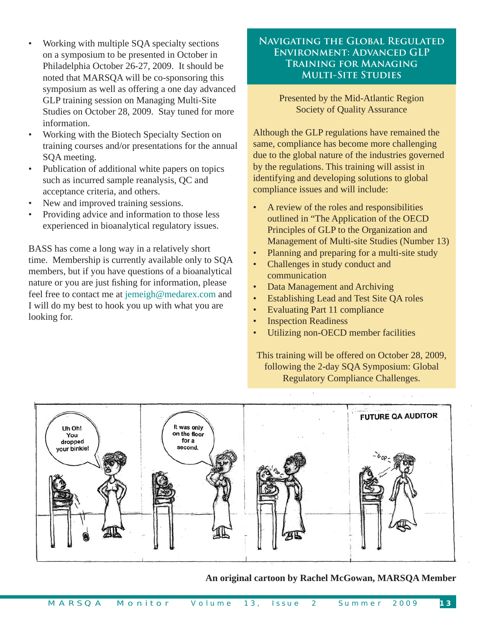- Working with multiple SQA specialty sections on a symposium to be presented in October in Philadelphia October 26-27, 2009. It should be noted that MARSQA will be co-sponsoring this symposium as well as offering a one day advanced GLP training session on Managing Multi-Site Studies on October 28, 2009. Stay tuned for more information.
- Working with the Biotech Specialty Section on training courses and/or presentations for the annual SQA meeting.
- Publication of additional white papers on topics such as incurred sample reanalysis, QC and acceptance criteria, and others.
- New and improved training sessions.
- Providing advice and information to those less experienced in bioanalytical regulatory issues.

BASS has come a long way in a relatively short time. Membership is currently available only to SQA members, but if you have questions of a bioanalytical nature or you are just fishing for information, please feel free to contact me at jemeigh@medarex.com and I will do my best to hook you up with what you are looking for.

#### **Navigating the Global Regulated Environment: Advanced GLP Training for Managing Multi-Site Studies**

Presented by the Mid-Atlantic Region Society of Quality Assurance

Although the GLP regulations have remained the same, compliance has become more challenging due to the global nature of the industries governed by the regulations. This training will assist in identifying and developing solutions to global compliance issues and will include:

- A review of the roles and responsibilities outlined in "The Application of the OECD Principles of GLP to the Organization and Management of Multi-site Studies (Number 13)
- Planning and preparing for a multi-site study
- Challenges in study conduct and communication
- Data Management and Archiving
- Establishing Lead and Test Site QA roles
- Evaluating Part 11 compliance
- Inspection Readiness
- Utilizing non-OECD member facilities

This training will be offered on October 28, 2009, following the 2-day SQA Symposium: Global Regulatory Compliance Challenges.



**An original cartoon by Rachel McGowan, MARSQA Member**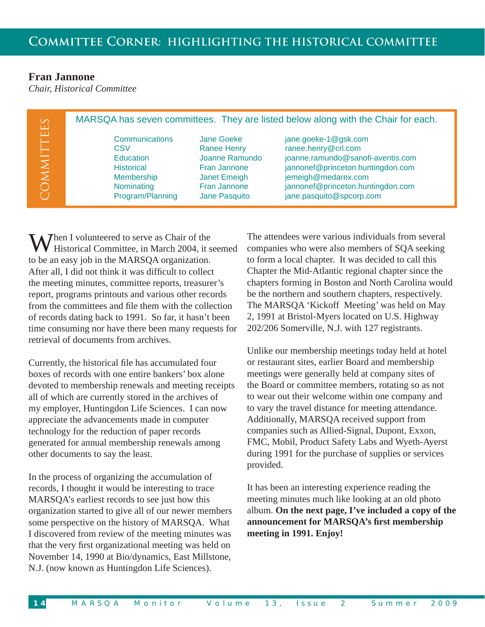### **Fran Jannone**

*Chair, Historical Committee*

| $\infty$<br>$\Box$ |                                                                                                                |                                                                                                                            | MARSQA has seven committees. They are listed below along with the Chair for each.                                                                                                                             |
|--------------------|----------------------------------------------------------------------------------------------------------------|----------------------------------------------------------------------------------------------------------------------------|---------------------------------------------------------------------------------------------------------------------------------------------------------------------------------------------------------------|
| $\Box$<br>MMIT     | Communications<br>CSV<br><b>Education</b><br><b>Historical</b><br>Membership<br>Nominating<br>Program/Planning | Jane Goeke<br><b>Ranee Henry</b><br>Joanne Ramundo<br>Fran Jannone<br>Janet Emeigh<br><b>Fran Jannone</b><br>Jane Pasquito | jane.goeke-1@gsk.com<br>ranee.henry@crl.com<br>joanne.ramundo@sanofi-aventis.com<br>jannonef@princeton.huntingdon.com<br>jemeigh@medarex.com<br>jannonef@princeton.huntingdon.com<br>jane.pasquito@spcorp.com |

 $\sum$  hen I volunteered to serve as Chair of the Historical Committee, in March 2004, it seemed to be an easy job in the MARSQA organization. After all, I did not think it was difficult to collect the meeting minutes, committee reports, treasurer's report, programs printouts and various other records from the committees and file them with the collection of records dating back to 1991. So far, it hasn't been time consuming nor have there been many requests for retrieval of documents from archives.

Currently, the historical file has accumulated four boxes of records with one entire bankers' box alone devoted to membership renewals and meeting receipts all of which are currently stored in the archives of my employer, Huntingdon Life Sciences. I can now appreciate the advancements made in computer technology for the reduction of paper records generated for annual membership renewals among other documents to say the least.

In the process of organizing the accumulation of records, I thought it would be interesting to trace MARSQA's earliest records to see just how this organization started to give all of our newer members some perspective on the history of MARSQA. What I discovered from review of the meeting minutes was that the very first organizational meeting was held on November 14, 1990 at Bio/dynamics, East Millstone, N.J. (now known as Huntingdon Life Sciences).

The attendees were various individuals from several companies who were also members of SQA seeking to form a local chapter. It was decided to call this Chapter the Mid-Atlantic regional chapter since the chapters forming in Boston and North Carolina would be the northern and southern chapters, respectively. The MARSQA 'Kickoff Meeting' was held on May 2, 1991 at Bristol-Myers located on U.S. Highway 202/206 Somerville, N.J. with 127 registrants.

Unlike our membership meetings today held at hotel or restaurant sites, earlier Board and membership meetings were generally held at company sites of the Board or committee members, rotating so as not to wear out their welcome within one company and to vary the travel distance for meeting attendance. Additionally, MARSQA received support from companies such as Allied-Signal, Dupont, Exxon, FMC, Mobil, Product Safety Labs and Wyeth-Ayerst during 1991 for the purchase of supplies or services provided.

It has been an interesting experience reading the meeting minutes much like looking at an old photo album. **On the next page, I've included a copy of the announcement for MARSQA's fi rst membership meeting in 1991. Enjoy!**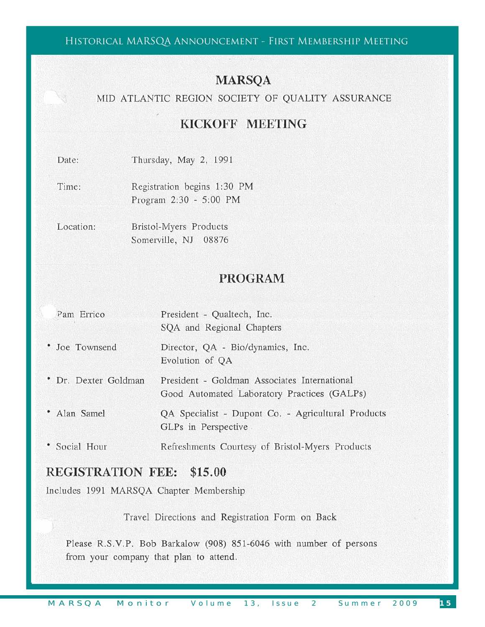### Historical MARSQA Announcement - First Membership Meeting

### **MARSQA**

### MID ATLANTIC REGION SOCIETY OF QUALITY ASSURANCE

### KICKOFF MEETING

| Date: | Thursday, May 2, 1991 |  |  |
|-------|-----------------------|--|--|

Time: Registration begins 1:30 PM Program 2:30 - 5:00 PM

Location: Bristol-Myers Products Somerville, NJ 08876

### **PROGRAM**

| Pam Errico           | President - Qualtech, Inc.<br>SQA and Regional Chapters                                     |
|----------------------|---------------------------------------------------------------------------------------------|
| • Joe Townsend       | Director, QA - Bio/dynamics, Inc.<br>Evolution of QA                                        |
| • Dr. Dexter Goldman | President - Goldman Associates International<br>Good Automated Laboratory Practices (GALPs) |
| • Alan Samel         | QA Specialist - Dupont Co. - Agricultural Products<br>GLPs in Perspective                   |
| • Social Hour        | Refreshments Courtesy of Bristol-Myers Products                                             |

### **REGISTRATION FEE: \$15.00**

Includes 1991 MARSQA Chapter Membership

Travel Directions and Registration Form on Back

Please R.S.V.P. Bob Barkalow (908) 851-6046 with number of persons from your company that plan to attend.